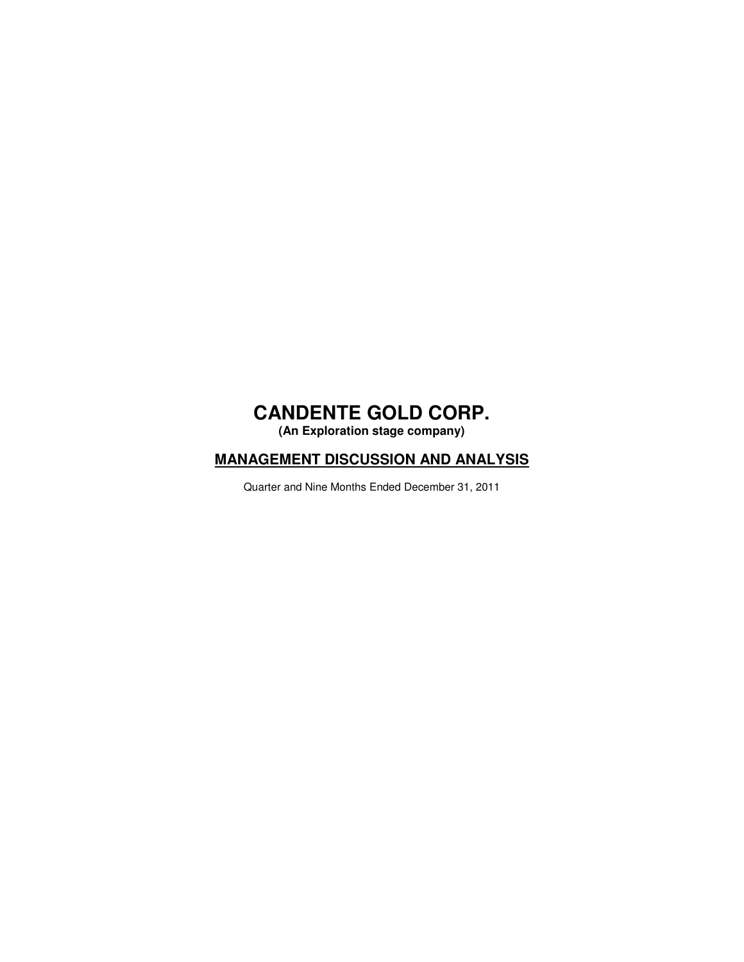**(An Exploration stage company)** 

### **MANAGEMENT DISCUSSION AND ANALYSIS**

Quarter and Nine Months Ended December 31, 2011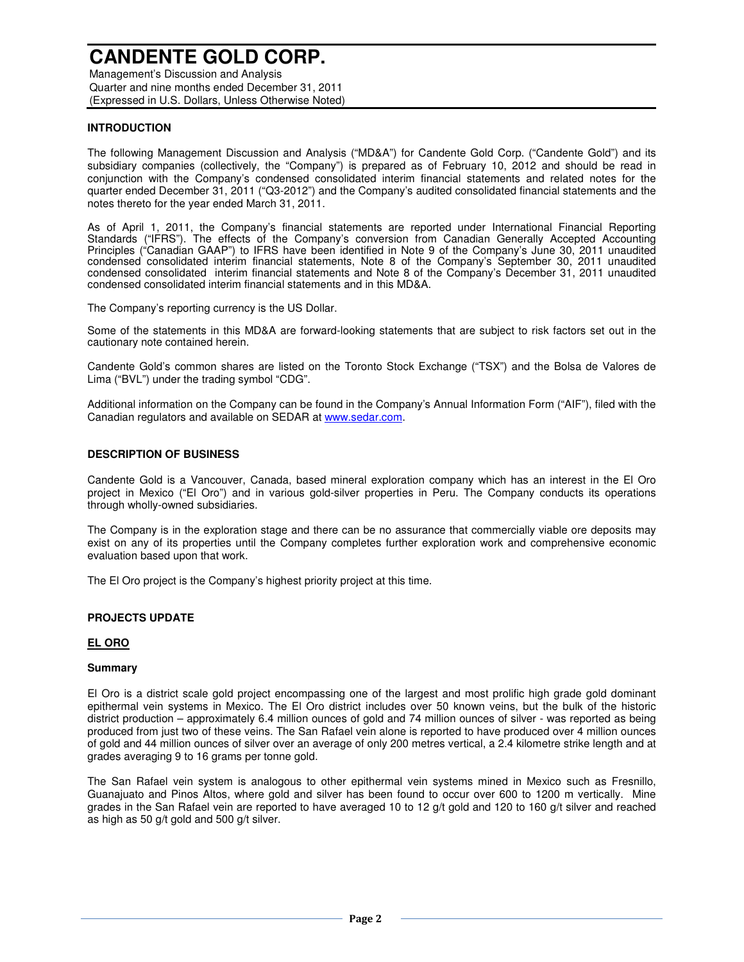Management's Discussion and Analysis Quarter and nine months ended December 31, 2011 (Expressed in U.S. Dollars, Unless Otherwise Noted)

### **INTRODUCTION**

The following Management Discussion and Analysis ("MD&A") for Candente Gold Corp. ("Candente Gold") and its subsidiary companies (collectively, the "Company") is prepared as of February 10, 2012 and should be read in conjunction with the Company's condensed consolidated interim financial statements and related notes for the quarter ended December 31, 2011 ("Q3-2012") and the Company's audited consolidated financial statements and the notes thereto for the year ended March 31, 2011.

As of April 1, 2011, the Company's financial statements are reported under International Financial Reporting Standards ("IFRS"). The effects of the Company's conversion from Canadian Generally Accepted Accounting Principles ("Canadian GAAP") to IFRS have been identified in Note 9 of the Company's June 30, 2011 unaudited condensed consolidated interim financial statements, Note 8 of the Company's September 30, 2011 unaudited condensed consolidated interim financial statements and Note 8 of the Company's December 31, 2011 unaudited condensed consolidated interim financial statements and in this MD&A.

The Company's reporting currency is the US Dollar.

Some of the statements in this MD&A are forward-looking statements that are subject to risk factors set out in the cautionary note contained herein.

Candente Gold's common shares are listed on the Toronto Stock Exchange ("TSX") and the Bolsa de Valores de Lima ("BVL") under the trading symbol "CDG".

Additional information on the Company can be found in the Company's Annual Information Form ("AIF"), filed with the Canadian regulators and available on SEDAR at www.sedar.com.

#### **DESCRIPTION OF BUSINESS**

Candente Gold is a Vancouver, Canada, based mineral exploration company which has an interest in the El Oro project in Mexico ("El Oro") and in various gold-silver properties in Peru. The Company conducts its operations through wholly-owned subsidiaries.

The Company is in the exploration stage and there can be no assurance that commercially viable ore deposits may exist on any of its properties until the Company completes further exploration work and comprehensive economic evaluation based upon that work.

The El Oro project is the Company's highest priority project at this time.

#### **PROJECTS UPDATE**

#### **EL ORO**

#### **Summary**

El Oro is a district scale gold project encompassing one of the largest and most prolific high grade gold dominant epithermal vein systems in Mexico. The El Oro district includes over 50 known veins, but the bulk of the historic district production – approximately 6.4 million ounces of gold and 74 million ounces of silver - was reported as being produced from just two of these veins. The San Rafael vein alone is reported to have produced over 4 million ounces of gold and 44 million ounces of silver over an average of only 200 metres vertical, a 2.4 kilometre strike length and at grades averaging 9 to 16 grams per tonne gold.

The San Rafael vein system is analogous to other epithermal vein systems mined in Mexico such as Fresnillo, Guanajuato and Pinos Altos, where gold and silver has been found to occur over 600 to 1200 m vertically. Mine grades in the San Rafael vein are reported to have averaged 10 to 12 g/t gold and 120 to 160 g/t silver and reached as high as 50 g/t gold and 500 g/t silver.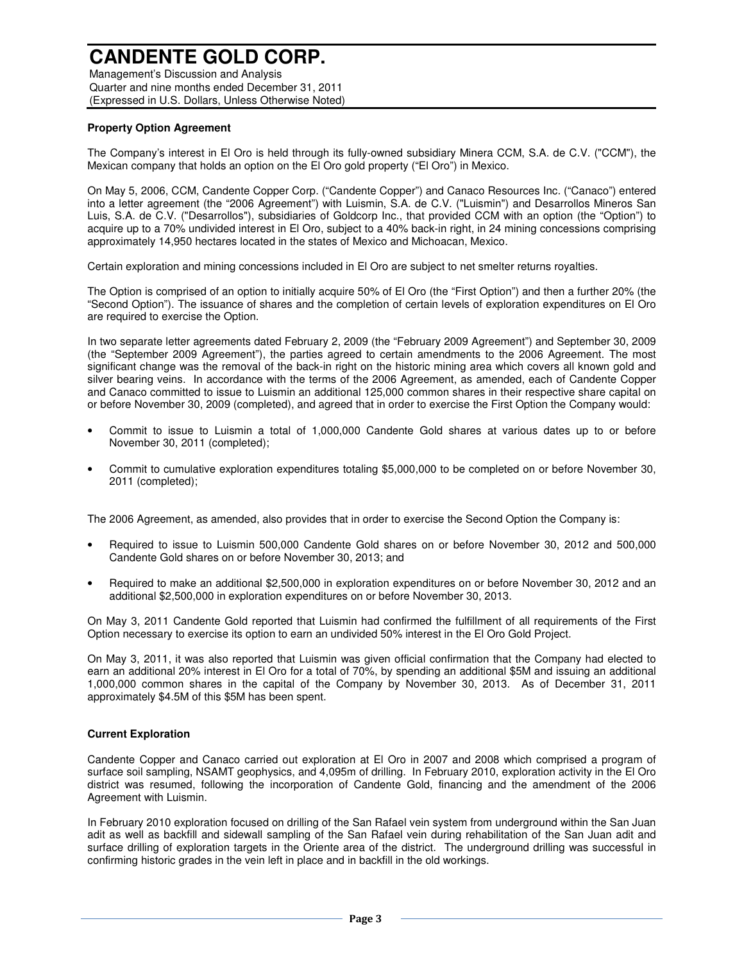Management's Discussion and Analysis Quarter and nine months ended December 31, 2011 (Expressed in U.S. Dollars, Unless Otherwise Noted)

### **Property Option Agreement**

The Company's interest in El Oro is held through its fully-owned subsidiary Minera CCM, S.A. de C.V. ("CCM"), the Mexican company that holds an option on the El Oro gold property ("El Oro") in Mexico.

On May 5, 2006, CCM, Candente Copper Corp. ("Candente Copper") and Canaco Resources Inc. ("Canaco") entered into a letter agreement (the "2006 Agreement") with Luismin, S.A. de C.V. ("Luismin") and Desarrollos Mineros San Luis, S.A. de C.V. ("Desarrollos"), subsidiaries of Goldcorp Inc., that provided CCM with an option (the "Option") to acquire up to a 70% undivided interest in El Oro, subject to a 40% back-in right, in 24 mining concessions comprising approximately 14,950 hectares located in the states of Mexico and Michoacan, Mexico.

Certain exploration and mining concessions included in El Oro are subject to net smelter returns royalties.

The Option is comprised of an option to initially acquire 50% of El Oro (the "First Option") and then a further 20% (the "Second Option"). The issuance of shares and the completion of certain levels of exploration expenditures on El Oro are required to exercise the Option.

In two separate letter agreements dated February 2, 2009 (the "February 2009 Agreement") and September 30, 2009 (the "September 2009 Agreement"), the parties agreed to certain amendments to the 2006 Agreement. The most significant change was the removal of the back-in right on the historic mining area which covers all known gold and silver bearing veins. In accordance with the terms of the 2006 Agreement, as amended, each of Candente Copper and Canaco committed to issue to Luismin an additional 125,000 common shares in their respective share capital on or before November 30, 2009 (completed), and agreed that in order to exercise the First Option the Company would:

- Commit to issue to Luismin a total of 1,000,000 Candente Gold shares at various dates up to or before November 30, 2011 (completed);
- Commit to cumulative exploration expenditures totaling \$5,000,000 to be completed on or before November 30, 2011 (completed);

The 2006 Agreement, as amended, also provides that in order to exercise the Second Option the Company is:

- Required to issue to Luismin 500,000 Candente Gold shares on or before November 30, 2012 and 500,000 Candente Gold shares on or before November 30, 2013; and
- Required to make an additional \$2,500,000 in exploration expenditures on or before November 30, 2012 and an additional \$2,500,000 in exploration expenditures on or before November 30, 2013.

On May 3, 2011 Candente Gold reported that Luismin had confirmed the fulfillment of all requirements of the First Option necessary to exercise its option to earn an undivided 50% interest in the El Oro Gold Project.

On May 3, 2011, it was also reported that Luismin was given official confirmation that the Company had elected to earn an additional 20% interest in El Oro for a total of 70%, by spending an additional \$5M and issuing an additional 1,000,000 common shares in the capital of the Company by November 30, 2013. As of December 31, 2011 approximately \$4.5M of this \$5M has been spent.

#### **Current Exploration**

Candente Copper and Canaco carried out exploration at El Oro in 2007 and 2008 which comprised a program of surface soil sampling, NSAMT geophysics, and 4,095m of drilling. In February 2010, exploration activity in the El Oro district was resumed, following the incorporation of Candente Gold, financing and the amendment of the 2006 Agreement with Luismin.

In February 2010 exploration focused on drilling of the San Rafael vein system from underground within the San Juan adit as well as backfill and sidewall sampling of the San Rafael vein during rehabilitation of the San Juan adit and surface drilling of exploration targets in the Oriente area of the district. The underground drilling was successful in confirming historic grades in the vein left in place and in backfill in the old workings.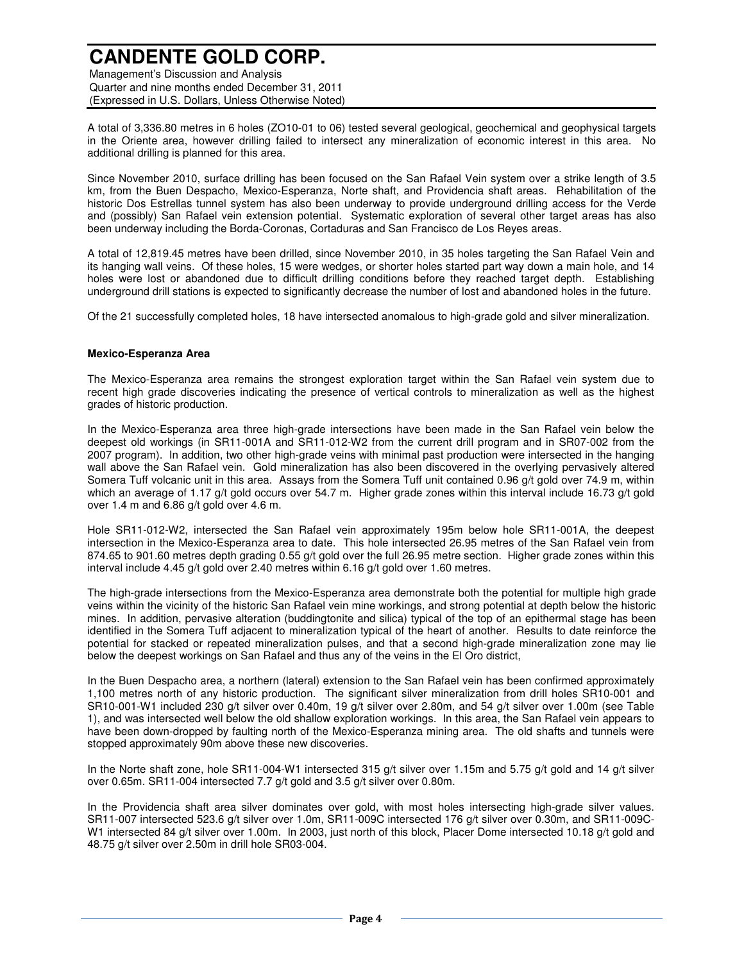Management's Discussion and Analysis Quarter and nine months ended December 31, 2011 (Expressed in U.S. Dollars, Unless Otherwise Noted)

A total of 3,336.80 metres in 6 holes (ZO10-01 to 06) tested several geological, geochemical and geophysical targets in the Oriente area, however drilling failed to intersect any mineralization of economic interest in this area. No additional drilling is planned for this area.

Since November 2010, surface drilling has been focused on the San Rafael Vein system over a strike length of 3.5 km, from the Buen Despacho, Mexico-Esperanza, Norte shaft, and Providencia shaft areas. Rehabilitation of the historic Dos Estrellas tunnel system has also been underway to provide underground drilling access for the Verde and (possibly) San Rafael vein extension potential. Systematic exploration of several other target areas has also been underway including the Borda-Coronas, Cortaduras and San Francisco de Los Reyes areas.

A total of 12,819.45 metres have been drilled, since November 2010, in 35 holes targeting the San Rafael Vein and its hanging wall veins. Of these holes, 15 were wedges, or shorter holes started part way down a main hole, and 14 holes were lost or abandoned due to difficult drilling conditions before they reached target depth. Establishing underground drill stations is expected to significantly decrease the number of lost and abandoned holes in the future.

Of the 21 successfully completed holes, 18 have intersected anomalous to high-grade gold and silver mineralization.

#### **Mexico-Esperanza Area**

The Mexico-Esperanza area remains the strongest exploration target within the San Rafael vein system due to recent high grade discoveries indicating the presence of vertical controls to mineralization as well as the highest grades of historic production.

In the Mexico-Esperanza area three high-grade intersections have been made in the San Rafael vein below the deepest old workings (in SR11-001A and SR11-012-W2 from the current drill program and in SR07-002 from the 2007 program). In addition, two other high-grade veins with minimal past production were intersected in the hanging wall above the San Rafael vein. Gold mineralization has also been discovered in the overlying pervasively altered Somera Tuff volcanic unit in this area. Assays from the Somera Tuff unit contained 0.96 g/t gold over 74.9 m, within which an average of 1.17 g/t gold occurs over 54.7 m. Higher grade zones within this interval include 16.73 g/t gold over 1.4 m and 6.86 g/t gold over 4.6 m.

Hole SR11-012-W2, intersected the San Rafael vein approximately 195m below hole SR11-001A, the deepest intersection in the Mexico-Esperanza area to date. This hole intersected 26.95 metres of the San Rafael vein from 874.65 to 901.60 metres depth grading 0.55 g/t gold over the full 26.95 metre section. Higher grade zones within this interval include 4.45 g/t gold over 2.40 metres within 6.16 g/t gold over 1.60 metres.

The high-grade intersections from the Mexico-Esperanza area demonstrate both the potential for multiple high grade veins within the vicinity of the historic San Rafael vein mine workings, and strong potential at depth below the historic mines. In addition, pervasive alteration (buddingtonite and silica) typical of the top of an epithermal stage has been identified in the Somera Tuff adjacent to mineralization typical of the heart of another. Results to date reinforce the potential for stacked or repeated mineralization pulses, and that a second high-grade mineralization zone may lie below the deepest workings on San Rafael and thus any of the veins in the El Oro district,

In the Buen Despacho area, a northern (lateral) extension to the San Rafael vein has been confirmed approximately 1,100 metres north of any historic production. The significant silver mineralization from drill holes SR10-001 and SR10-001-W1 included 230 g/t silver over 0.40m, 19 g/t silver over 2.80m, and 54 g/t silver over 1.00m (see Table 1), and was intersected well below the old shallow exploration workings. In this area, the San Rafael vein appears to have been down-dropped by faulting north of the Mexico-Esperanza mining area. The old shafts and tunnels were stopped approximately 90m above these new discoveries.

In the Norte shaft zone, hole SR11-004-W1 intersected 315 g/t silver over 1.15m and 5.75 g/t gold and 14 g/t silver over 0.65m. SR11-004 intersected 7.7 g/t gold and 3.5 g/t silver over 0.80m.

In the Providencia shaft area silver dominates over gold, with most holes intersecting high-grade silver values. SR11-007 intersected 523.6 g/t silver over 1.0m, SR11-009C intersected 176 g/t silver over 0.30m, and SR11-009C-W1 intersected 84 g/t silver over 1.00m. In 2003, just north of this block, Placer Dome intersected 10.18 g/t gold and 48.75 g/t silver over 2.50m in drill hole SR03-004.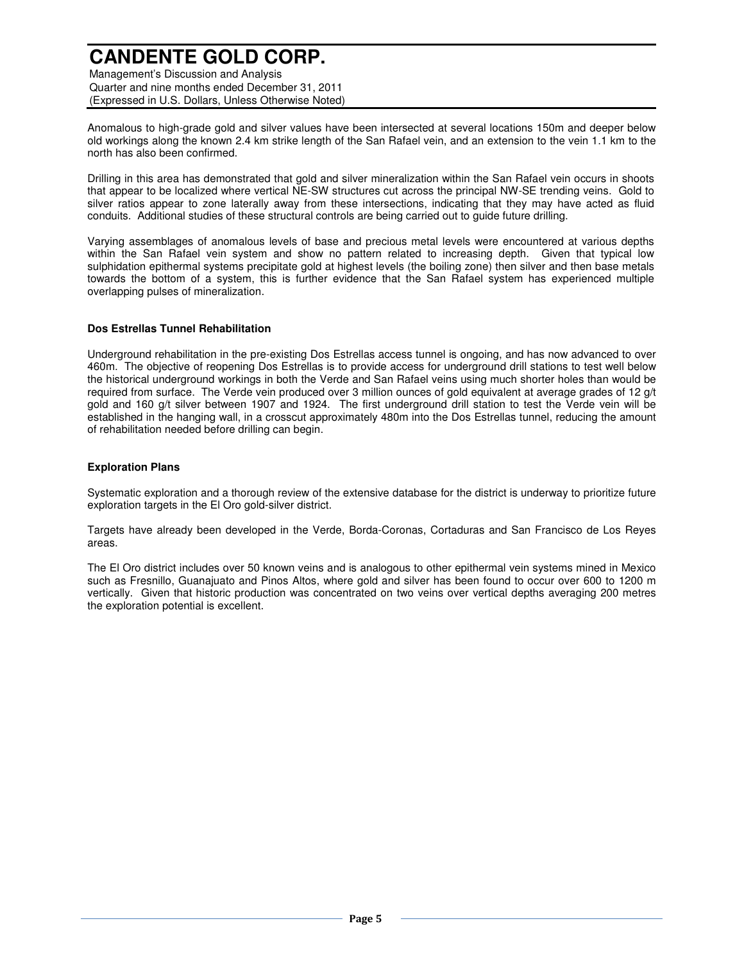Management's Discussion and Analysis Quarter and nine months ended December 31, 2011 (Expressed in U.S. Dollars, Unless Otherwise Noted)

Anomalous to high-grade gold and silver values have been intersected at several locations 150m and deeper below old workings along the known 2.4 km strike length of the San Rafael vein, and an extension to the vein 1.1 km to the north has also been confirmed.

Drilling in this area has demonstrated that gold and silver mineralization within the San Rafael vein occurs in shoots that appear to be localized where vertical NE-SW structures cut across the principal NW-SE trending veins. Gold to silver ratios appear to zone laterally away from these intersections, indicating that they may have acted as fluid conduits. Additional studies of these structural controls are being carried out to guide future drilling.

Varying assemblages of anomalous levels of base and precious metal levels were encountered at various depths within the San Rafael vein system and show no pattern related to increasing depth. Given that typical low sulphidation epithermal systems precipitate gold at highest levels (the boiling zone) then silver and then base metals towards the bottom of a system, this is further evidence that the San Rafael system has experienced multiple overlapping pulses of mineralization.

#### **Dos Estrellas Tunnel Rehabilitation**

Underground rehabilitation in the pre-existing Dos Estrellas access tunnel is ongoing, and has now advanced to over 460m. The objective of reopening Dos Estrellas is to provide access for underground drill stations to test well below the historical underground workings in both the Verde and San Rafael veins using much shorter holes than would be required from surface. The Verde vein produced over 3 million ounces of gold equivalent at average grades of 12 g/t gold and 160 g/t silver between 1907 and 1924. The first underground drill station to test the Verde vein will be established in the hanging wall, in a crosscut approximately 480m into the Dos Estrellas tunnel, reducing the amount of rehabilitation needed before drilling can begin.

#### **Exploration Plans**

Systematic exploration and a thorough review of the extensive database for the district is underway to prioritize future exploration targets in the El Oro gold-silver district.

Targets have already been developed in the Verde, Borda-Coronas, Cortaduras and San Francisco de Los Reyes areas.

The El Oro district includes over 50 known veins and is analogous to other epithermal vein systems mined in Mexico such as Fresnillo, Guanajuato and Pinos Altos, where gold and silver has been found to occur over 600 to 1200 m vertically. Given that historic production was concentrated on two veins over vertical depths averaging 200 metres the exploration potential is excellent.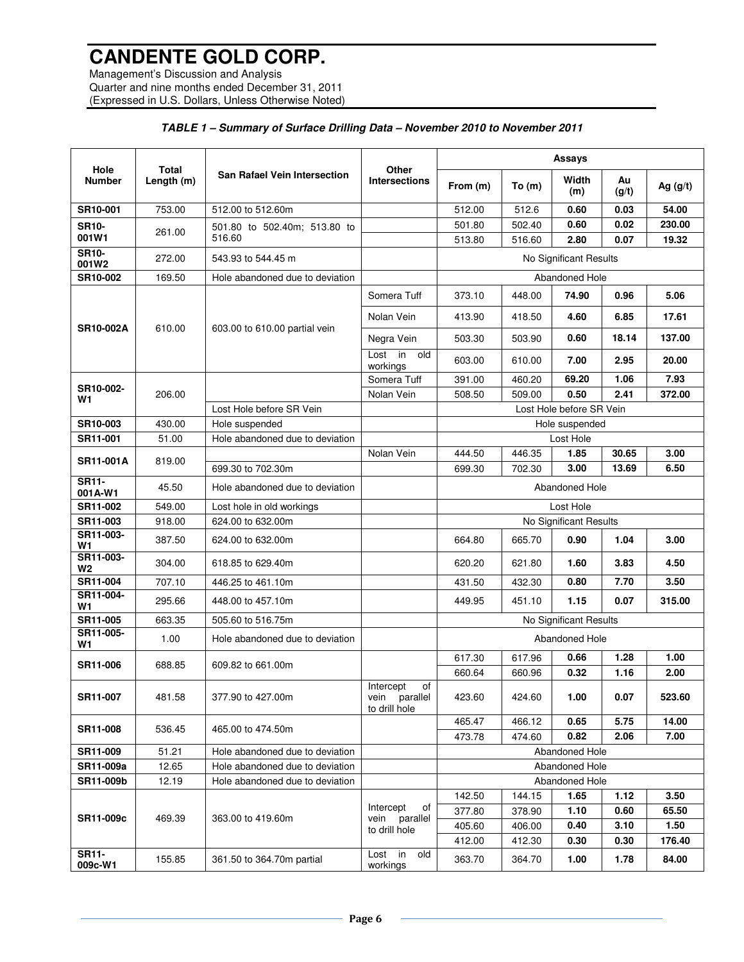Management's Discussion and Analysis Quarter and nine months ended December 31, 2011 (Expressed in U.S. Dollars, Unless Otherwise Noted)

### **TABLE 1 – Summary of Surface Drilling Data – November 2010 to November 2011**

|                         |                            |                                     | Other                                                | Assays                                  |                  |                          |                |               |
|-------------------------|----------------------------|-------------------------------------|------------------------------------------------------|-----------------------------------------|------------------|--------------------------|----------------|---------------|
| Hole<br><b>Number</b>   | <b>Total</b><br>Length (m) | <b>San Rafael Vein Intersection</b> | <b>Intersections</b>                                 | From (m)                                | To (m)           | Width<br>(m)             | Au<br>(g/t)    | Ag $(g/t)$    |
| SR10-001                | 753.00                     | 512.00 to 512.60m                   |                                                      | 512.00                                  | 512.6            | 0.60                     | 0.03           | 54.00         |
| <b>SR10-</b>            | 261.00                     | 501.80 to 502.40m; 513.80 to        |                                                      | 501.80                                  | 502.40           | 0.60                     | 0.02           | 230.00        |
| 001W1                   |                            | 516.60                              |                                                      | 513.80                                  | 516.60           | 2.80                     | 0.07           | 19.32         |
| <b>SR10-</b><br>001W2   | 272.00                     | 543.93 to 544.45 m                  |                                                      |                                         |                  | No Significant Results   |                |               |
| SR10-002                | 169.50                     | Hole abandoned due to deviation     |                                                      |                                         |                  | Abandoned Hole           |                |               |
|                         |                            |                                     | Somera Tuff                                          | 373.10                                  | 448.00           | 74.90                    | 0.96           | 5.06          |
| <b>SR10-002A</b>        | 610.00                     | 603.00 to 610.00 partial vein       | Nolan Vein                                           | 413.90                                  | 418.50           | 4.60                     | 6.85           | 17.61         |
|                         |                            |                                     | Negra Vein                                           | 503.30                                  | 503.90           | 0.60                     | 18.14          | 137.00        |
|                         |                            |                                     | in<br>old<br>Lost<br>workings                        | 603.00                                  | 610.00           | 7.00                     | 2.95           | 20.00         |
| SR10-002-               |                            |                                     | Somera Tuff                                          | 391.00                                  | 460.20           | 69.20                    | 1.06           | 7.93          |
| W1                      | 206.00                     |                                     | Nolan Vein                                           | 508.50                                  | 509.00           | 0.50                     | 2.41           | 372.00        |
|                         |                            | Lost Hole before SR Vein            |                                                      |                                         |                  | Lost Hole before SR Vein |                |               |
| SR10-003                | 430.00                     | Hole suspended                      |                                                      |                                         |                  | Hole suspended           |                |               |
| SR11-001                | 51.00                      | Hole abandoned due to deviation     |                                                      |                                         |                  | Lost Hole                |                |               |
| <b>SR11-001A</b>        | 819.00                     | 699.30 to 702.30m                   | Nolan Vein                                           | 444.50<br>699.30                        | 446.35<br>702.30 | 1.85<br>3.00             | 30.65<br>13.69 | 3.00<br>6.50  |
| <b>SR11-</b><br>001A-W1 | 45.50                      | Hole abandoned due to deviation     |                                                      | Abandoned Hole                          |                  |                          |                |               |
| SR11-002                | 549.00                     | Lost hole in old workings           |                                                      | Lost Hole                               |                  |                          |                |               |
| SR11-003                | 918.00                     | 624.00 to 632.00m                   |                                                      |                                         |                  | No Significant Results   |                |               |
| SR11-003-<br>W1         | 387.50                     | 624.00 to 632.00m                   |                                                      | 664.80                                  | 665.70           | 0.90                     | 1.04           | 3.00          |
| SR11-003-<br>W2         | 304.00                     | 618.85 to 629.40m                   |                                                      | 620.20                                  | 621.80           | 1.60                     | 3.83           | 4.50          |
| SR11-004                | 707.10                     | 446.25 to 461.10m                   |                                                      | 431.50                                  | 432.30           | 0.80                     | 7.70           | 3.50          |
| SR11-004-<br>W1         | 295.66                     | 448.00 to 457.10m                   |                                                      | 449.95                                  | 451.10           | 1.15                     | 0.07           | 315.00        |
| SR11-005                | 663.35                     | 505.60 to 516.75m                   |                                                      |                                         |                  | No Significant Results   |                |               |
| SR11-005-<br>W1         | 1.00                       | Hole abandoned due to deviation     |                                                      | Abandoned Hole                          |                  |                          |                |               |
| SR11-006                | 688.85                     | 609.82 to 661.00m                   |                                                      | 617.30                                  | 617.96           | 0.66                     | 1.28           | 1.00          |
|                         |                            |                                     |                                                      | 660.64                                  | 660.96           | 0.32                     | 1.16           | 2.00          |
| SR11-007                | 481.58                     | 377.90 to 427.00m                   | of<br>Intercept<br>parallel<br>vein<br>to drill hole | 423.60                                  | 424.60           | 1.00                     | 0.07           | 523.60        |
| SR11-008                | 536.45                     | 465.00 to 474.50m                   |                                                      | 465.47<br>473.78                        | 466.12<br>474.60 | 0.65<br>0.82             | 5.75<br>2.06   | 14.00<br>7.00 |
| SR11-009                | 51.21                      | Hole abandoned due to deviation     |                                                      |                                         |                  |                          |                |               |
| SR11-009a               | 12.65                      | Hole abandoned due to deviation     |                                                      | <b>Abandoned Hole</b><br>Abandoned Hole |                  |                          |                |               |
| SR11-009b               | 12.19                      | Hole abandoned due to deviation     |                                                      |                                         |                  | Abandoned Hole           |                |               |
|                         |                            |                                     |                                                      | 142.50                                  | 144.15           | 1.65                     | 1.12           | 3.50          |
|                         |                            |                                     | of<br>Intercept<br>parallel<br>vein<br>to drill hole | 377.80                                  | 378.90           | 1.10                     | 0.60           | 65.50         |
| SR11-009c               | 469.39                     | 363.00 to 419.60m                   |                                                      | 405.60                                  | 406.00           | 0.40                     | 3.10           | 1.50          |
|                         |                            |                                     |                                                      | 412.00                                  | 412.30           | 0.30                     | 0.30           | 176.40        |
| <b>SR11-</b><br>009c-W1 | 155.85                     | 361.50 to 364.70m partial           | Lost $\overline{\text{in}}$<br>old<br>workings       | 363.70                                  | 364.70           | 1.00                     | 1.78           | 84.00         |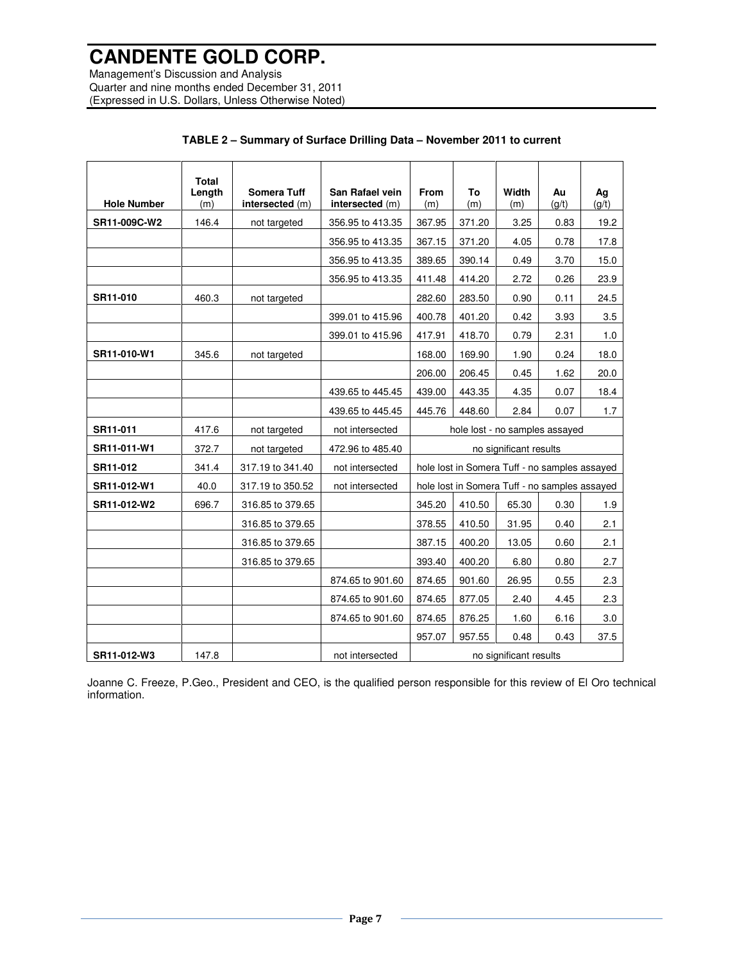Management's Discussion and Analysis Quarter and nine months ended December 31, 2011 (Expressed in U.S. Dollars, Unless Otherwise Noted)

|                    | <b>Total</b><br>Length | <b>Somera Tuff</b> | San Rafael vein  | From                                          | To     | Width | Au    | Ag    |
|--------------------|------------------------|--------------------|------------------|-----------------------------------------------|--------|-------|-------|-------|
| <b>Hole Number</b> | (m)                    | intersected (m)    | intersected (m)  | (m)                                           | (m)    | (m)   | (q/t) | (g/t) |
| SR11-009C-W2       | 146.4                  | not targeted       | 356.95 to 413.35 | 367.95                                        | 371.20 | 3.25  | 0.83  | 19.2  |
|                    |                        |                    | 356.95 to 413.35 | 367.15                                        | 371.20 | 4.05  | 0.78  | 17.8  |
|                    |                        |                    | 356.95 to 413.35 | 389.65                                        | 390.14 | 0.49  | 3.70  | 15.0  |
|                    |                        |                    | 356.95 to 413.35 | 411.48                                        | 414.20 | 2.72  | 0.26  | 23.9  |
| SR11-010           | 460.3                  | not targeted       |                  | 282.60                                        | 283.50 | 0.90  | 0.11  | 24.5  |
|                    |                        |                    | 399.01 to 415.96 | 400.78                                        | 401.20 | 0.42  | 3.93  | 3.5   |
|                    |                        |                    | 399.01 to 415.96 | 417.91                                        | 418.70 | 0.79  | 2.31  | 1.0   |
| SR11-010-W1        | 345.6                  | not targeted       |                  | 168.00                                        | 169.90 | 1.90  | 0.24  | 18.0  |
|                    |                        |                    |                  | 206.00                                        | 206.45 | 0.45  | 1.62  | 20.0  |
|                    |                        |                    | 439.65 to 445.45 | 439.00                                        | 443.35 | 4.35  | 0.07  | 18.4  |
|                    |                        |                    | 439.65 to 445.45 | 445.76                                        | 448.60 | 2.84  | 0.07  | 1.7   |
| SR11-011           | 417.6                  | not targeted       | not intersected  | hole lost - no samples assayed                |        |       |       |       |
| SR11-011-W1        | 372.7                  | not targeted       | 472.96 to 485.40 | no significant results                        |        |       |       |       |
| SR11-012           | 341.4                  | 317.19 to 341.40   | not intersected  | hole lost in Somera Tuff - no samples assayed |        |       |       |       |
| SR11-012-W1        | 40.0                   | 317.19 to 350.52   | not intersected  | hole lost in Somera Tuff - no samples assayed |        |       |       |       |
| SR11-012-W2        | 696.7                  | 316.85 to 379.65   |                  | 345.20                                        | 410.50 | 65.30 | 0.30  | 1.9   |
|                    |                        | 316.85 to 379.65   |                  | 378.55                                        | 410.50 | 31.95 | 0.40  | 2.1   |
|                    |                        | 316.85 to 379.65   |                  | 387.15                                        | 400.20 | 13.05 | 0.60  | 2.1   |
|                    |                        | 316.85 to 379.65   |                  | 393.40                                        | 400.20 | 6.80  | 0.80  | 2.7   |
|                    |                        |                    | 874.65 to 901.60 | 874.65                                        | 901.60 | 26.95 | 0.55  | 2.3   |
|                    |                        |                    | 874.65 to 901.60 | 874.65                                        | 877.05 | 2.40  | 4.45  | 2.3   |
|                    |                        |                    | 874.65 to 901.60 | 874.65                                        | 876.25 | 1.60  | 6.16  | 3.0   |
|                    |                        |                    |                  | 957.07                                        | 957.55 | 0.48  | 0.43  | 37.5  |
| SR11-012-W3        | 147.8                  |                    | not intersected  | no significant results                        |        |       |       |       |

### **TABLE 2 – Summary of Surface Drilling Data – November 2011 to current**

Joanne C. Freeze, P.Geo., President and CEO, is the qualified person responsible for this review of El Oro technical information.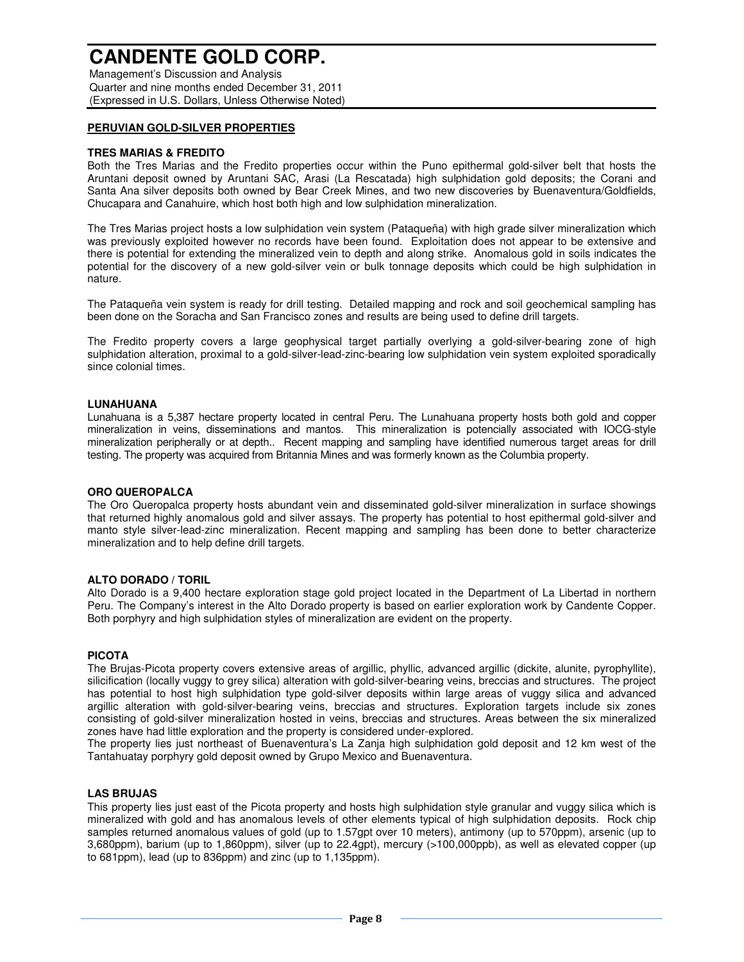Management's Discussion and Analysis Quarter and nine months ended December 31, 2011 (Expressed in U.S. Dollars, Unless Otherwise Noted)

### **PERUVIAN GOLD-SILVER PROPERTIES**

#### **TRES MARIAS & FREDITO**

Both the Tres Marias and the Fredito properties occur within the Puno epithermal gold-silver belt that hosts the Aruntani deposit owned by Aruntani SAC, Arasi (La Rescatada) high sulphidation gold deposits; the Corani and Santa Ana silver deposits both owned by Bear Creek Mines, and two new discoveries by Buenaventura/Goldfields, Chucapara and Canahuire, which host both high and low sulphidation mineralization.

The Tres Marias project hosts a low sulphidation vein system (Pataqueña) with high grade silver mineralization which was previously exploited however no records have been found. Exploitation does not appear to be extensive and there is potential for extending the mineralized vein to depth and along strike. Anomalous gold in soils indicates the potential for the discovery of a new gold-silver vein or bulk tonnage deposits which could be high sulphidation in nature.

The Pataqueña vein system is ready for drill testing. Detailed mapping and rock and soil geochemical sampling has been done on the Soracha and San Francisco zones and results are being used to define drill targets.

The Fredito property covers a large geophysical target partially overlying a gold-silver-bearing zone of high sulphidation alteration, proximal to a gold-silver-lead-zinc-bearing low sulphidation vein system exploited sporadically since colonial times.

#### **LUNAHUANA**

Lunahuana is a 5,387 hectare property located in central Peru. The Lunahuana property hosts both gold and copper mineralization in veins, disseminations and mantos. This mineralization is potencially associated with IOCG-style mineralization peripherally or at depth.. Recent mapping and sampling have identified numerous target areas for drill testing. The property was acquired from Britannia Mines and was formerly known as the Columbia property.

#### **ORO QUEROPALCA**

The Oro Queropalca property hosts abundant vein and disseminated gold-silver mineralization in surface showings that returned highly anomalous gold and silver assays. The property has potential to host epithermal gold-silver and manto style silver-lead-zinc mineralization. Recent mapping and sampling has been done to better characterize mineralization and to help define drill targets.

#### **ALTO DORADO / TORIL**

Alto Dorado is a 9,400 hectare exploration stage gold project located in the Department of La Libertad in northern Peru. The Company's interest in the Alto Dorado property is based on earlier exploration work by Candente Copper. Both porphyry and high sulphidation styles of mineralization are evident on the property.

#### **PICOTA**

The Brujas-Picota property covers extensive areas of argillic, phyllic, advanced argillic (dickite, alunite, pyrophyllite), silicification (locally vuggy to grey silica) alteration with gold-silver-bearing veins, breccias and structures. The project has potential to host high sulphidation type gold-silver deposits within large areas of vuggy silica and advanced argillic alteration with gold-silver-bearing veins, breccias and structures. Exploration targets include six zones consisting of gold-silver mineralization hosted in veins, breccias and structures. Areas between the six mineralized zones have had little exploration and the property is considered under-explored.

The property lies just northeast of Buenaventura's La Zanja high sulphidation gold deposit and 12 km west of the Tantahuatay porphyry gold deposit owned by Grupo Mexico and Buenaventura.

#### **LAS BRUJAS**

This property lies just east of the Picota property and hosts high sulphidation style granular and vuggy silica which is mineralized with gold and has anomalous levels of other elements typical of high sulphidation deposits. Rock chip samples returned anomalous values of gold (up to 1.57gpt over 10 meters), antimony (up to 570ppm), arsenic (up to 3,680ppm), barium (up to 1,860ppm), silver (up to 22.4gpt), mercury (>100,000ppb), as well as elevated copper (up to 681ppm), lead (up to 836ppm) and zinc (up to 1,135ppm).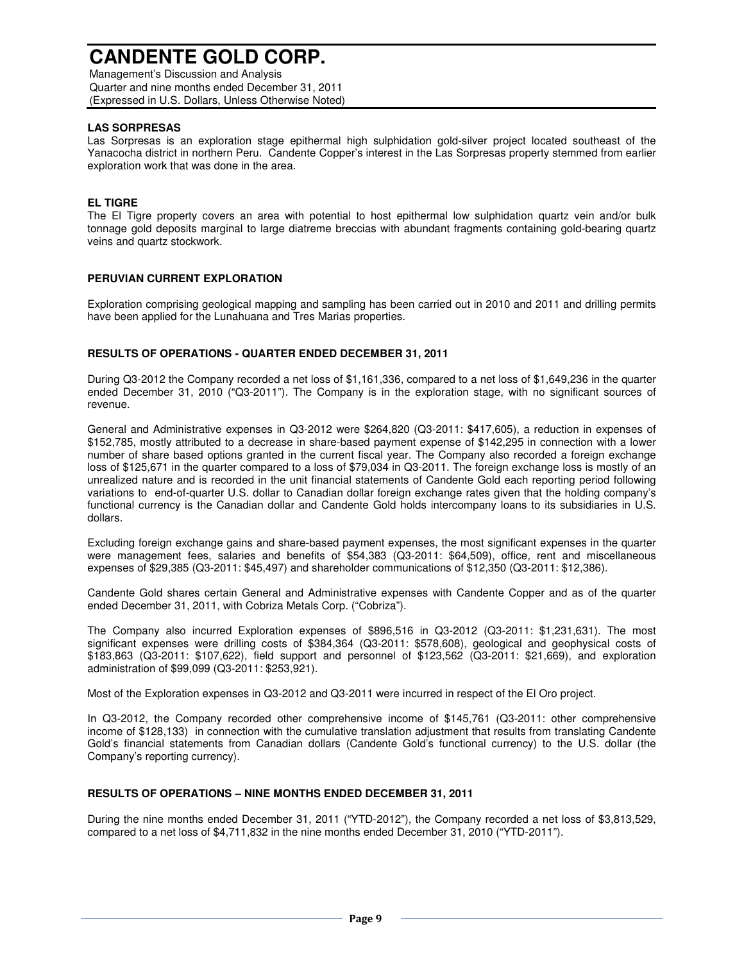Management's Discussion and Analysis Quarter and nine months ended December 31, 2011 (Expressed in U.S. Dollars, Unless Otherwise Noted)

### **LAS SORPRESAS**

Las Sorpresas is an exploration stage epithermal high sulphidation gold-silver project located southeast of the Yanacocha district in northern Peru. Candente Copper's interest in the Las Sorpresas property stemmed from earlier exploration work that was done in the area.

### **EL TIGRE**

The El Tigre property covers an area with potential to host epithermal low sulphidation quartz vein and/or bulk tonnage gold deposits marginal to large diatreme breccias with abundant fragments containing gold-bearing quartz veins and quartz stockwork.

### **PERUVIAN CURRENT EXPLORATION**

Exploration comprising geological mapping and sampling has been carried out in 2010 and 2011 and drilling permits have been applied for the Lunahuana and Tres Marias properties.

### **RESULTS OF OPERATIONS - QUARTER ENDED DECEMBER 31, 2011**

During Q3-2012 the Company recorded a net loss of \$1,161,336, compared to a net loss of \$1,649,236 in the quarter ended December 31, 2010 ("Q3-2011"). The Company is in the exploration stage, with no significant sources of revenue.

General and Administrative expenses in Q3-2012 were \$264,820 (Q3-2011: \$417,605), a reduction in expenses of \$152,785, mostly attributed to a decrease in share-based payment expense of \$142,295 in connection with a lower number of share based options granted in the current fiscal year. The Company also recorded a foreign exchange loss of \$125,671 in the quarter compared to a loss of \$79,034 in Q3-2011. The foreign exchange loss is mostly of an unrealized nature and is recorded in the unit financial statements of Candente Gold each reporting period following variations to end-of-quarter U.S. dollar to Canadian dollar foreign exchange rates given that the holding company's functional currency is the Canadian dollar and Candente Gold holds intercompany loans to its subsidiaries in U.S. dollars.

Excluding foreign exchange gains and share-based payment expenses, the most significant expenses in the quarter were management fees, salaries and benefits of \$54,383 (Q3-2011: \$64,509), office, rent and miscellaneous expenses of \$29,385 (Q3-2011: \$45,497) and shareholder communications of \$12,350 (Q3-2011: \$12,386).

Candente Gold shares certain General and Administrative expenses with Candente Copper and as of the quarter ended December 31, 2011, with Cobriza Metals Corp. ("Cobriza").

The Company also incurred Exploration expenses of \$896,516 in Q3-2012 (Q3-2011: \$1,231,631). The most significant expenses were drilling costs of \$384,364 (Q3-2011: \$578,608), geological and geophysical costs of \$183,863 (Q3-2011: \$107,622), field support and personnel of \$123,562 (Q3-2011: \$21,669), and exploration administration of \$99,099 (Q3-2011: \$253,921).

Most of the Exploration expenses in Q3-2012 and Q3-2011 were incurred in respect of the El Oro project.

In Q3-2012, the Company recorded other comprehensive income of \$145,761 (Q3-2011: other comprehensive income of \$128,133) in connection with the cumulative translation adjustment that results from translating Candente Gold's financial statements from Canadian dollars (Candente Gold's functional currency) to the U.S. dollar (the Company's reporting currency).

### **RESULTS OF OPERATIONS – NINE MONTHS ENDED DECEMBER 31, 2011**

During the nine months ended December 31, 2011 ("YTD-2012"), the Company recorded a net loss of \$3,813,529, compared to a net loss of \$4,711,832 in the nine months ended December 31, 2010 ("YTD-2011").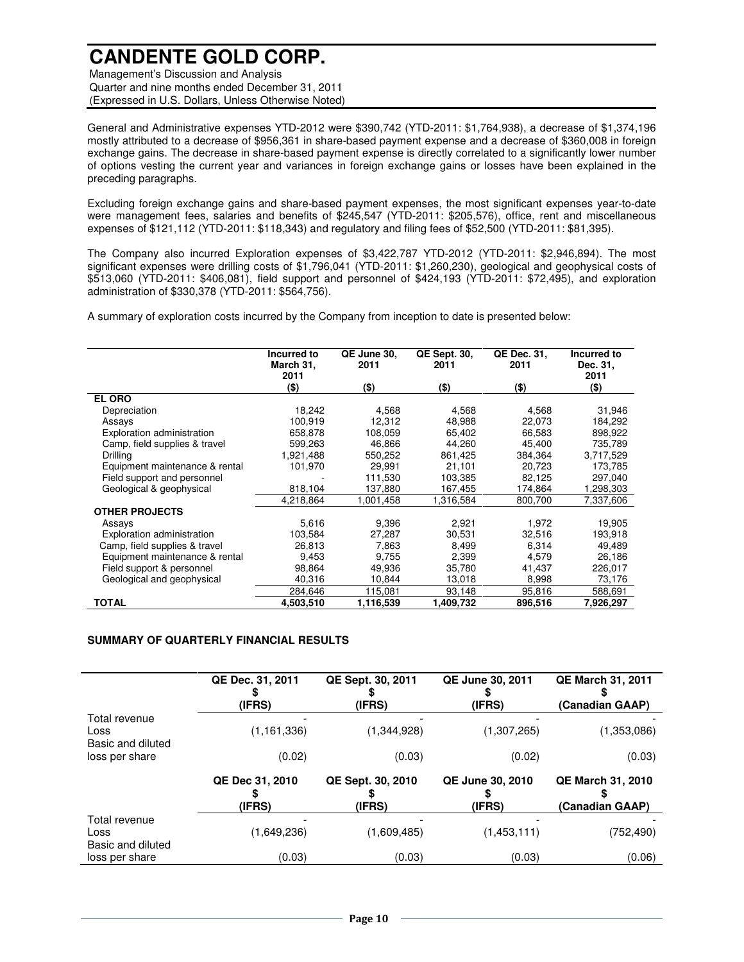Management's Discussion and Analysis Quarter and nine months ended December 31, 2011 (Expressed in U.S. Dollars, Unless Otherwise Noted)

General and Administrative expenses YTD-2012 were \$390,742 (YTD-2011: \$1,764,938), a decrease of \$1,374,196 mostly attributed to a decrease of \$956,361 in share-based payment expense and a decrease of \$360,008 in foreign exchange gains. The decrease in share-based payment expense is directly correlated to a significantly lower number of options vesting the current year and variances in foreign exchange gains or losses have been explained in the preceding paragraphs.

Excluding foreign exchange gains and share-based payment expenses, the most significant expenses year-to-date were management fees, salaries and benefits of \$245,547 (YTD-2011: \$205,576), office, rent and miscellaneous expenses of \$121,112 (YTD-2011: \$118,343) and regulatory and filing fees of \$52,500 (YTD-2011: \$81,395).

The Company also incurred Exploration expenses of \$3,422,787 YTD-2012 (YTD-2011: \$2,946,894). The most significant expenses were drilling costs of \$1,796,041 (YTD-2011: \$1,260,230), geological and geophysical costs of \$513,060 (YTD-2011: \$406,081), field support and personnel of \$424,193 (YTD-2011: \$72,495), and exploration administration of \$330,378 (YTD-2011: \$564,756).

A summary of exploration costs incurred by the Company from inception to date is presented below:

|                                | Incurred to<br>March 31,<br>2011 | QE June 30.<br>2011 | <b>QE Sept. 30,</b><br>2011 | QE Dec. 31,<br>2011 | Incurred to<br>Dec. 31,<br>2011 |
|--------------------------------|----------------------------------|---------------------|-----------------------------|---------------------|---------------------------------|
|                                | (\$)                             | (\$)                | (\$)                        | $($ \$)             | $($ \$)                         |
| <b>EL ORO</b>                  |                                  |                     |                             |                     |                                 |
| Depreciation                   | 18,242                           | 4,568               | 4,568                       | 4,568               | 31,946                          |
| Assays                         | 100,919                          | 12,312              | 48,988                      | 22,073              | 184,292                         |
| Exploration administration     | 658,878                          | 108,059             | 65,402                      | 66,583              | 898,922                         |
| Camp, field supplies & travel  | 599,263                          | 46,866              | 44,260                      | 45,400              | 735,789                         |
| Drilling                       | 1,921,488                        | 550,252             | 861,425                     | 384,364             | 3,717,529                       |
| Equipment maintenance & rental | 101,970                          | 29,991              | 21,101                      | 20,723              | 173,785                         |
| Field support and personnel    |                                  | 111,530             | 103,385                     | 82,125              | 297,040                         |
| Geological & geophysical       | 818,104                          | 137,880             | 167,455                     | 174,864             | 1,298,303                       |
|                                | 4,218,864                        | 1,001,458           | 1,316,584                   | 800,700             | 7,337,606                       |
| <b>OTHER PROJECTS</b>          |                                  |                     |                             |                     |                                 |
| Assays                         | 5,616                            | 9,396               | 2,921                       | 1,972               | 19,905                          |
| Exploration administration     | 103,584                          | 27,287              | 30,531                      | 32,516              | 193,918                         |
| Camp, field supplies & travel  | 26.813                           | 7,863               | 8,499                       | 6,314               | 49.489                          |
| Equipment maintenance & rental | 9,453                            | 9,755               | 2,399                       | 4,579               | 26,186                          |
| Field support & personnel      | 98.864                           | 49,936              | 35,780                      | 41,437              | 226,017                         |
| Geological and geophysical     | 40,316                           | 10,844              | 13,018                      | 8,998               | 73,176                          |
|                                | 284,646                          | 115,081             | 93,148                      | 95,816              | 588,691                         |
| TOTAL                          | 4,503,510                        | 1,116,539           | 1,409,732                   | 896,516             | 7,926,297                       |

#### **SUMMARY OF QUARTERLY FINANCIAL RESULTS**

|                                            | QE Dec. 31, 2011<br>(IFRS) | QE Sept. 30, 2011<br>(IFRS) | QE June 30, 2011<br>(IFRS) | <b>QE March 31, 2011</b><br>(Canadian GAAP) |
|--------------------------------------------|----------------------------|-----------------------------|----------------------------|---------------------------------------------|
| Total revenue<br>Loss<br>Basic and diluted | (1, 161, 336)              | (1,344,928)                 | (1,307,265)                | (1,353,086)                                 |
| loss per share                             | (0.02)                     | (0.03)                      | (0.02)                     | (0.03)                                      |
|                                            | QE Dec 31, 2010<br>(IFRS)  | QE Sept. 30, 2010<br>(IFRS) | QE June 30, 2010<br>(IFRS) | <b>QE March 31, 2010</b><br>(Canadian GAAP) |
| Total revenue<br>Loss<br>Basic and diluted | (1,649,236)                | (1,609,485)                 | (1,453,111)                | (752, 490)                                  |
| loss per share                             | (0.03)                     | (0.03)                      | (0.03)                     | (0.06)                                      |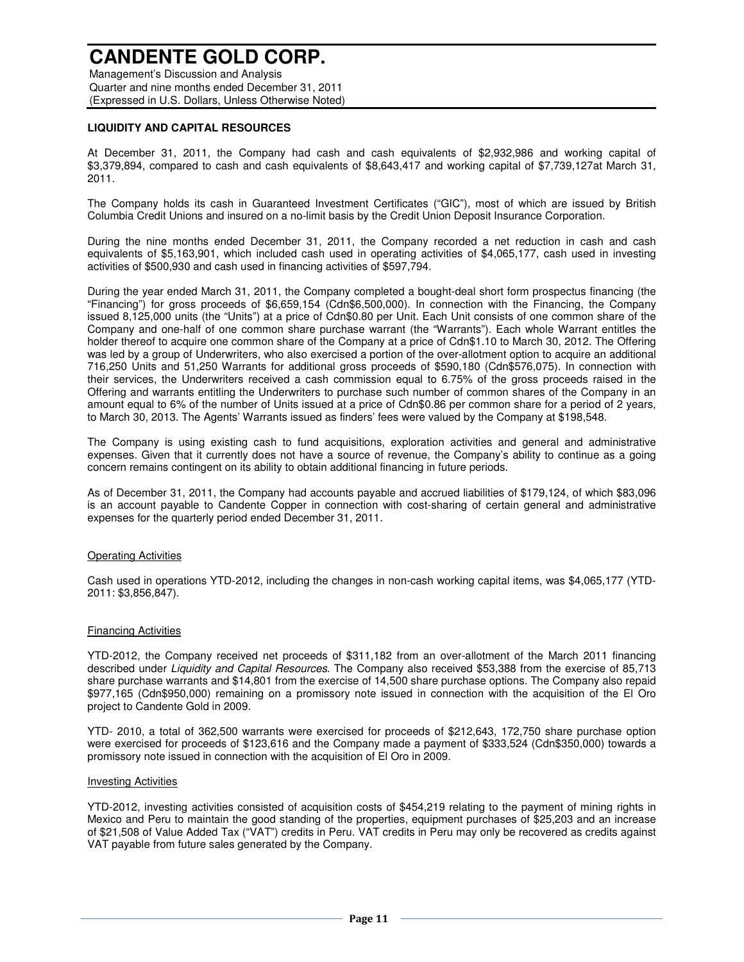Management's Discussion and Analysis Quarter and nine months ended December 31, 2011 (Expressed in U.S. Dollars, Unless Otherwise Noted)

#### **LIQUIDITY AND CAPITAL RESOURCES**

At December 31, 2011, the Company had cash and cash equivalents of \$2,932,986 and working capital of \$3,379,894, compared to cash and cash equivalents of \$8,643,417 and working capital of \$7,739,127at March 31, 2011.

The Company holds its cash in Guaranteed Investment Certificates ("GIC"), most of which are issued by British Columbia Credit Unions and insured on a no-limit basis by the Credit Union Deposit Insurance Corporation.

During the nine months ended December 31, 2011, the Company recorded a net reduction in cash and cash equivalents of \$5,163,901, which included cash used in operating activities of \$4,065,177, cash used in investing activities of \$500,930 and cash used in financing activities of \$597,794.

During the year ended March 31, 2011, the Company completed a bought-deal short form prospectus financing (the "Financing") for gross proceeds of \$6,659,154 (Cdn\$6,500,000). In connection with the Financing, the Company issued 8,125,000 units (the "Units") at a price of Cdn\$0.80 per Unit. Each Unit consists of one common share of the Company and one-half of one common share purchase warrant (the "Warrants"). Each whole Warrant entitles the holder thereof to acquire one common share of the Company at a price of Cdn\$1.10 to March 30, 2012. The Offering was led by a group of Underwriters, who also exercised a portion of the over-allotment option to acquire an additional 716,250 Units and 51,250 Warrants for additional gross proceeds of \$590,180 (Cdn\$576,075). In connection with their services, the Underwriters received a cash commission equal to 6.75% of the gross proceeds raised in the Offering and warrants entitling the Underwriters to purchase such number of common shares of the Company in an amount equal to 6% of the number of Units issued at a price of Cdn\$0.86 per common share for a period of 2 years, to March 30, 2013. The Agents' Warrants issued as finders' fees were valued by the Company at \$198,548.

The Company is using existing cash to fund acquisitions, exploration activities and general and administrative expenses. Given that it currently does not have a source of revenue, the Company's ability to continue as a going concern remains contingent on its ability to obtain additional financing in future periods.

As of December 31, 2011, the Company had accounts payable and accrued liabilities of \$179,124, of which \$83,096 is an account payable to Candente Copper in connection with cost-sharing of certain general and administrative expenses for the quarterly period ended December 31, 2011.

#### Operating Activities

Cash used in operations YTD-2012, including the changes in non-cash working capital items, was \$4,065,177 (YTD-2011: \$3,856,847).

#### Financing Activities

YTD-2012, the Company received net proceeds of \$311,182 from an over-allotment of the March 2011 financing described under Liquidity and Capital Resources. The Company also received \$53,388 from the exercise of 85,713 share purchase warrants and \$14,801 from the exercise of 14,500 share purchase options. The Company also repaid \$977,165 (Cdn\$950,000) remaining on a promissory note issued in connection with the acquisition of the El Oro project to Candente Gold in 2009.

YTD- 2010, a total of 362,500 warrants were exercised for proceeds of \$212,643, 172,750 share purchase option were exercised for proceeds of \$123,616 and the Company made a payment of \$333,524 (Cdn\$350,000) towards a promissory note issued in connection with the acquisition of El Oro in 2009.

#### Investing Activities

YTD-2012, investing activities consisted of acquisition costs of \$454,219 relating to the payment of mining rights in Mexico and Peru to maintain the good standing of the properties, equipment purchases of \$25,203 and an increase of \$21,508 of Value Added Tax ("VAT") credits in Peru. VAT credits in Peru may only be recovered as credits against VAT payable from future sales generated by the Company.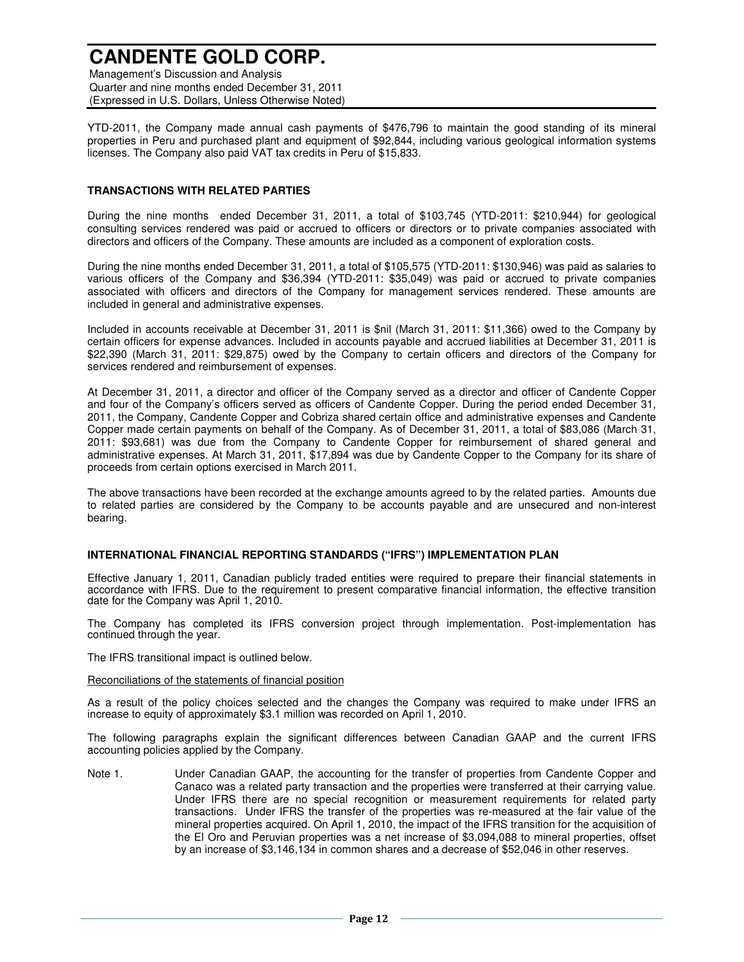Management's Discussion and Analysis Quarter and nine months ended December 31, 2011 (Expressed in U.S. Dollars, Unless Otherwise Noted)

YTD-2011, the Company made annual cash payments of \$476,796 to maintain the good standing of its mineral properties in Peru and purchased plant and equipment of \$92,844, including various geological information systems licenses. The Company also paid VAT tax credits in Peru of \$15,833.

#### **TRANSACTIONS WITH RELATED PARTIES**

During the nine months ended December 31, 2011, a total of \$103,745 (YTD-2011: \$210,944) for geological consulting services rendered was paid or accrued to officers or directors or to private companies associated with directors and officers of the Company. These amounts are included as a component of exploration costs.

During the nine months ended December 31, 2011, a total of \$105,575 (YTD-2011: \$130,946) was paid as salaries to various officers of the Company and \$36,394 (YTD-2011: \$35,049) was paid or accrued to private companies associated with officers and directors of the Company for management services rendered. These amounts are included in general and administrative expenses.

Included in accounts receivable at December 31, 2011 is \$nil (March 31, 2011: \$11,366) owed to the Company by certain officers for expense advances. Included in accounts payable and accrued liabilities at December 31, 2011 is \$22,390 (March 31, 2011: \$29,875) owed by the Company to certain officers and directors of the Company for services rendered and reimbursement of expenses.

At December 31, 2011, a director and officer of the Company served as a director and officer of Candente Copper and four of the Company's officers served as officers of Candente Copper. During the period ended December 31, 2011, the Company, Candente Copper and Cobriza shared certain office and administrative expenses and Candente Copper made certain payments on behalf of the Company. As of December 31, 2011, a total of \$83,086 (March 31, 2011: \$93,681) was due from the Company to Candente Copper for reimbursement of shared general and administrative expenses. At March 31, 2011, \$17,894 was due by Candente Copper to the Company for its share of proceeds from certain options exercised in March 2011.

The above transactions have been recorded at the exchange amounts agreed to by the related parties. Amounts due to related parties are considered by the Company to be accounts payable and are unsecured and non-interest bearing.

#### **INTERNATIONAL FINANCIAL REPORTING STANDARDS ("IFRS") IMPLEMENTATION PLAN**

Effective January 1, 2011, Canadian publicly traded entities were required to prepare their financial statements in accordance with IFRS. Due to the requirement to present comparative financial information, the effective transition date for the Company was April 1, 2010.

The Company has completed its IFRS conversion project through implementation. Post-implementation has continued through the year.

The IFRS transitional impact is outlined below.

#### Reconciliations of the statements of financial position

As a result of the policy choices selected and the changes the Company was required to make under IFRS an increase to equity of approximately \$3.1 million was recorded on April 1, 2010.

The following paragraphs explain the significant differences between Canadian GAAP and the current IFRS accounting policies applied by the Company.

Note 1. Under Canadian GAAP, the accounting for the transfer of properties from Candente Copper and Canaco was a related party transaction and the properties were transferred at their carrying value. Under IFRS there are no special recognition or measurement requirements for related party transactions. Under IFRS the transfer of the properties was re-measured at the fair value of the mineral properties acquired. On April 1, 2010, the impact of the IFRS transition for the acquisition of the El Oro and Peruvian properties was a net increase of \$3,094,088 to mineral properties, offset by an increase of \$3,146,134 in common shares and a decrease of \$52,046 in other reserves.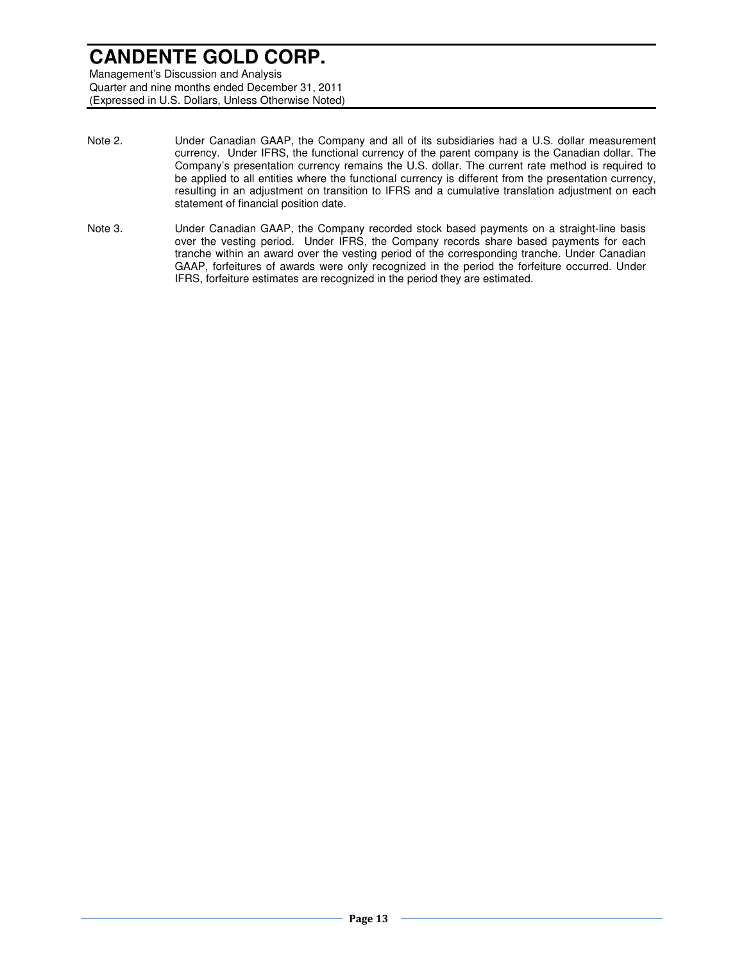Quarter and nine months ended December 31, 2011 (Expressed in U.S. Dollars, Unless Otherwise Noted)

- Note 2. Under Canadian GAAP, the Company and all of its subsidiaries had a U.S. dollar measurement currency. Under IFRS, the functional currency of the parent company is the Canadian dollar. The Company's presentation currency remains the U.S. dollar. The current rate method is required to be applied to all entities where the functional currency is different from the presentation currency, resulting in an adjustment on transition to IFRS and a cumulative translation adjustment on each statement of financial position date.
- Note 3. Under Canadian GAAP, the Company recorded stock based payments on a straight-line basis over the vesting period. Under IFRS, the Company records share based payments for each tranche within an award over the vesting period of the corresponding tranche. Under Canadian GAAP, forfeitures of awards were only recognized in the period the forfeiture occurred. Under IFRS, forfeiture estimates are recognized in the period they are estimated.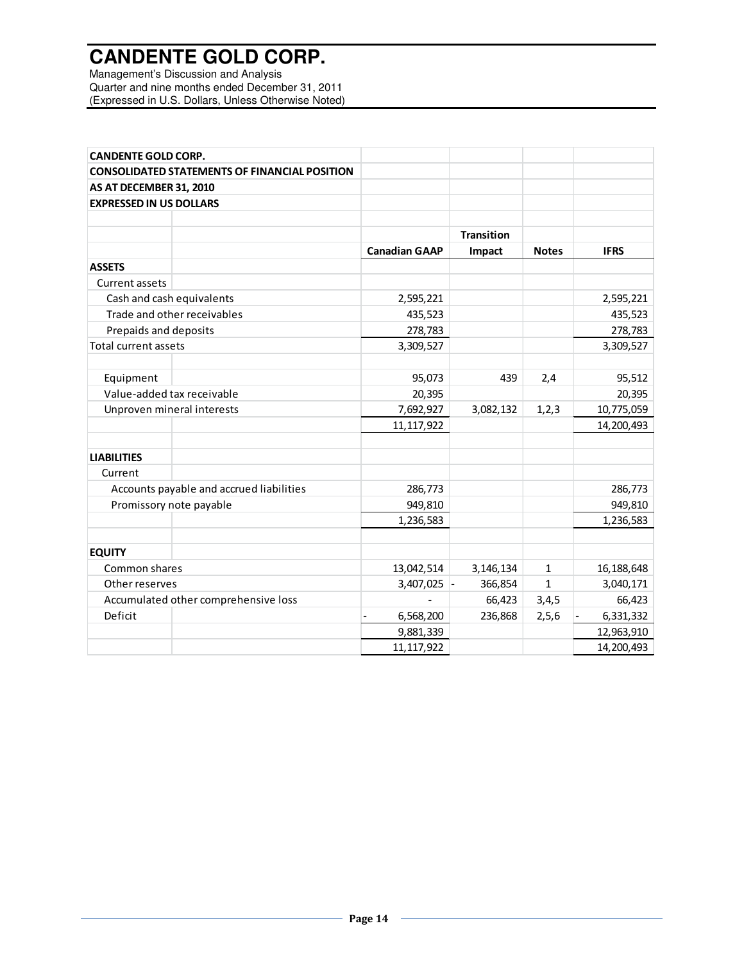Management's Discussion and Analysis Quarter and nine months ended December 31, 2011 (Expressed in U.S. Dollars, Unless Otherwise Noted)

| <b>CANDENTE GOLD CORP.</b>                           |                      |                   |              |             |
|------------------------------------------------------|----------------------|-------------------|--------------|-------------|
| <b>CONSOLIDATED STATEMENTS OF FINANCIAL POSITION</b> |                      |                   |              |             |
| AS AT DECEMBER 31, 2010                              |                      |                   |              |             |
| <b>EXPRESSED IN US DOLLARS</b>                       |                      |                   |              |             |
|                                                      |                      |                   |              |             |
|                                                      |                      | <b>Transition</b> |              |             |
|                                                      | <b>Canadian GAAP</b> | Impact            | <b>Notes</b> | <b>IFRS</b> |
| <b>ASSETS</b>                                        |                      |                   |              |             |
| <b>Current assets</b>                                |                      |                   |              |             |
| Cash and cash equivalents                            | 2,595,221            |                   |              | 2,595,221   |
| Trade and other receivables                          | 435,523              |                   |              | 435,523     |
| Prepaids and deposits                                | 278,783              |                   |              | 278,783     |
| <b>Total current assets</b>                          | 3,309,527            |                   |              | 3,309,527   |
| Equipment                                            | 95,073               | 439               | 2,4          | 95,512      |
| Value-added tax receivable                           | 20,395               |                   |              | 20,395      |
| Unproven mineral interests                           | 7,692,927            | 3,082,132         | 1, 2, 3      | 10,775,059  |
|                                                      | 11, 117, 922         |                   |              | 14,200,493  |
| <b>LIABILITIES</b>                                   |                      |                   |              |             |
| Current                                              |                      |                   |              |             |
| Accounts payable and accrued liabilities             | 286,773              |                   |              | 286,773     |
| Promissory note payable                              | 949,810              |                   |              | 949,810     |
|                                                      | 1,236,583            |                   |              | 1,236,583   |
| <b>EQUITY</b>                                        |                      |                   |              |             |
| Common shares                                        | 13,042,514           | 3,146,134         | $\mathbf{1}$ | 16,188,648  |
| Other reserves                                       | 3,407,025 -          | 366,854           | $\mathbf{1}$ | 3,040,171   |
| Accumulated other comprehensive loss                 |                      | 66,423            | 3,4,5        | 66,423      |
| Deficit                                              | 6,568,200            | 236,868           | 2, 5, 6      | 6,331,332   |
|                                                      | 9,881,339            |                   |              | 12,963,910  |
|                                                      | 11, 117, 922         |                   |              | 14,200,493  |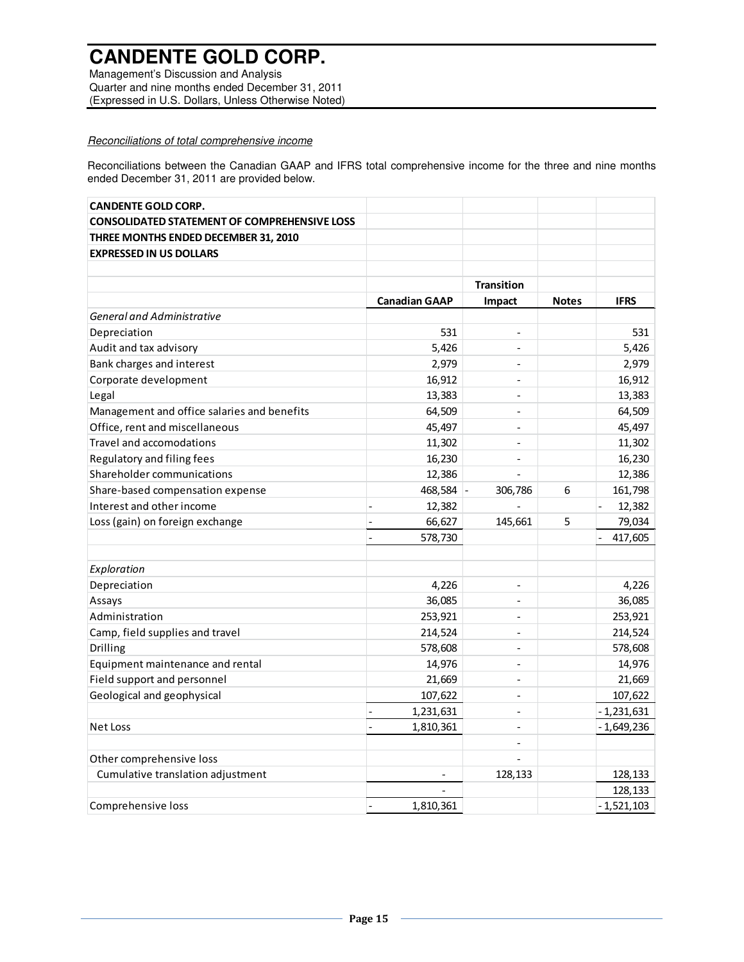Management's Discussion and Analysis Quarter and nine months ended December 31, 2011 (Expressed in U.S. Dollars, Unless Otherwise Noted)

### Reconciliations of total comprehensive income

Reconciliations between the Canadian GAAP and IFRS total comprehensive income for the three and nine months ended December 31, 2011 are provided below.

| <b>CANDENTE GOLD CORP.</b>                          |                             |                          |              |              |
|-----------------------------------------------------|-----------------------------|--------------------------|--------------|--------------|
| <b>CONSOLIDATED STATEMENT OF COMPREHENSIVE LOSS</b> |                             |                          |              |              |
| THREE MONTHS ENDED DECEMBER 31, 2010                |                             |                          |              |              |
| <b>EXPRESSED IN US DOLLARS</b>                      |                             |                          |              |              |
|                                                     |                             |                          |              |              |
|                                                     |                             | <b>Transition</b>        |              |              |
|                                                     | <b>Canadian GAAP</b>        | Impact                   | <b>Notes</b> | <b>IFRS</b>  |
| <b>General and Administrative</b>                   |                             |                          |              |              |
| Depreciation                                        | 531                         | $\overline{\phantom{a}}$ |              | 531          |
| Audit and tax advisory                              | 5,426                       | $\overline{a}$           |              | 5,426        |
| Bank charges and interest                           | 2,979                       | $\overline{a}$           |              | 2,979        |
| Corporate development                               | 16,912                      | $\overline{\phantom{a}}$ |              | 16,912       |
| Legal                                               | 13,383                      | $\overline{\phantom{m}}$ |              | 13,383       |
| Management and office salaries and benefits         | 64,509                      | $\overline{a}$           |              | 64,509       |
| Office, rent and miscellaneous                      | 45,497                      | $\overline{a}$           |              | 45,497       |
| Travel and accomodations                            | 11,302                      | $\overline{a}$           |              | 11,302       |
| Regulatory and filing fees                          | 16,230                      | $\overline{\phantom{a}}$ |              | 16,230       |
| Shareholder communications                          | 12,386                      |                          |              | 12,386       |
| Share-based compensation expense                    | 468,584                     | 306,786                  | 6            | 161,798      |
| Interest and other income                           | 12,382                      |                          |              | 12,382       |
| Loss (gain) on foreign exchange                     | 66,627                      | 145,661                  | 5            | 79,034       |
|                                                     | 578,730                     |                          |              | 417,605      |
|                                                     |                             |                          |              |              |
| Exploration                                         |                             |                          |              |              |
| Depreciation                                        | 4,226                       | $\overline{\phantom{m}}$ |              | 4,226        |
| Assays                                              | 36,085                      | $\overline{a}$           |              | 36,085       |
| Administration                                      | 253,921                     | $\overline{a}$           |              | 253,921      |
| Camp, field supplies and travel                     | 214,524                     | $\overline{a}$           |              | 214,524      |
| Drilling                                            | 578,608                     | $\overline{a}$           |              | 578,608      |
| Equipment maintenance and rental                    | 14,976                      | $\overline{\phantom{a}}$ |              | 14,976       |
| Field support and personnel                         | 21,669                      | $\overline{\phantom{m}}$ |              | 21,669       |
| Geological and geophysical                          | 107,622                     | $\overline{a}$           |              | 107,622      |
|                                                     | 1,231,631<br>$\overline{a}$ | $\overline{\phantom{a}}$ |              | $-1,231,631$ |
| Net Loss                                            | 1,810,361<br>$\overline{a}$ | $\overline{a}$           |              | $-1,649,236$ |
|                                                     |                             | $\overline{\phantom{a}}$ |              |              |
| Other comprehensive loss                            |                             |                          |              |              |
| Cumulative translation adjustment                   |                             | 128,133                  |              | 128,133      |
|                                                     |                             |                          |              | 128,133      |
| Comprehensive loss                                  | 1,810,361<br>$\overline{a}$ |                          |              | $-1,521,103$ |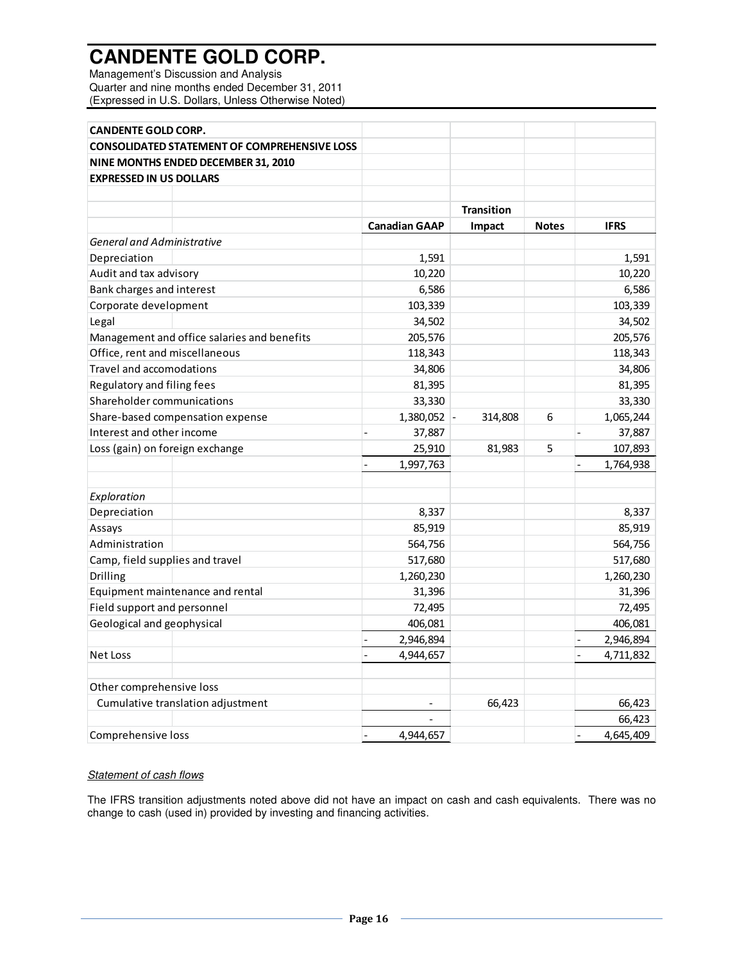Management's Discussion and Analysis Quarter and nine months ended December 31, 2011 (Expressed in U.S. Dollars, Unless Otherwise Noted)

| <b>CANDENTE GOLD CORP.</b>                          |                             |                   |                          |             |
|-----------------------------------------------------|-----------------------------|-------------------|--------------------------|-------------|
| <b>CONSOLIDATED STATEMENT OF COMPREHENSIVE LOSS</b> |                             |                   |                          |             |
| NINE MONTHS ENDED DECEMBER 31, 2010                 |                             |                   |                          |             |
| <b>EXPRESSED IN US DOLLARS</b>                      |                             |                   |                          |             |
|                                                     |                             |                   |                          |             |
|                                                     |                             | <b>Transition</b> |                          |             |
|                                                     | <b>Canadian GAAP</b>        | Impact            | <b>Notes</b>             | <b>IFRS</b> |
| <b>General and Administrative</b>                   |                             |                   |                          |             |
| Depreciation                                        | 1,591                       |                   |                          | 1,591       |
| Audit and tax advisory                              | 10,220                      |                   |                          | 10,220      |
| Bank charges and interest                           | 6,586                       |                   |                          | 6,586       |
| Corporate development                               | 103,339                     |                   |                          | 103,339     |
| Legal                                               | 34,502                      |                   |                          | 34,502      |
| Management and office salaries and benefits         | 205,576                     |                   |                          | 205,576     |
| Office, rent and miscellaneous                      | 118,343                     |                   |                          | 118,343     |
| Travel and accomodations                            | 34,806                      |                   |                          | 34,806      |
| Regulatory and filing fees                          | 81,395                      |                   |                          | 81,395      |
| Shareholder communications                          | 33,330                      |                   |                          | 33,330      |
| Share-based compensation expense                    | 1,380,052                   | 314,808           | 6                        | 1,065,244   |
| Interest and other income                           | 37,887                      |                   |                          | 37,887      |
| Loss (gain) on foreign exchange                     | 25,910                      | 81,983            | 5                        | 107,893     |
|                                                     | 1,997,763<br>$\frac{1}{2}$  |                   | $\overline{\phantom{0}}$ | 1,764,938   |
|                                                     |                             |                   |                          |             |
| Exploration                                         |                             |                   |                          |             |
| Depreciation                                        | 8,337                       |                   |                          | 8,337       |
| Assays                                              | 85,919                      |                   |                          | 85,919      |
| Administration                                      | 564,756                     |                   |                          | 564,756     |
| Camp, field supplies and travel                     | 517,680                     |                   |                          | 517,680     |
| Drilling                                            | 1,260,230                   |                   |                          | 1,260,230   |
| Equipment maintenance and rental                    | 31,396                      |                   |                          | 31,396      |
| Field support and personnel                         | 72,495                      |                   |                          | 72,495      |
| Geological and geophysical                          | 406,081                     |                   |                          | 406,081     |
|                                                     | 2,946,894<br>$\overline{a}$ |                   | $\overline{a}$           | 2,946,894   |
| Net Loss                                            | 4,944,657<br>$\overline{a}$ |                   | $\overline{a}$           | 4,711,832   |
| Other comprehensive loss                            |                             |                   |                          |             |
| Cumulative translation adjustment                   |                             | 66,423            |                          | 66,423      |
|                                                     |                             |                   |                          | 66,423      |
| Comprehensive loss                                  | 4,944,657                   |                   |                          | 4,645,409   |

### **Statement of cash flows**

The IFRS transition adjustments noted above did not have an impact on cash and cash equivalents. There was no change to cash (used in) provided by investing and financing activities.